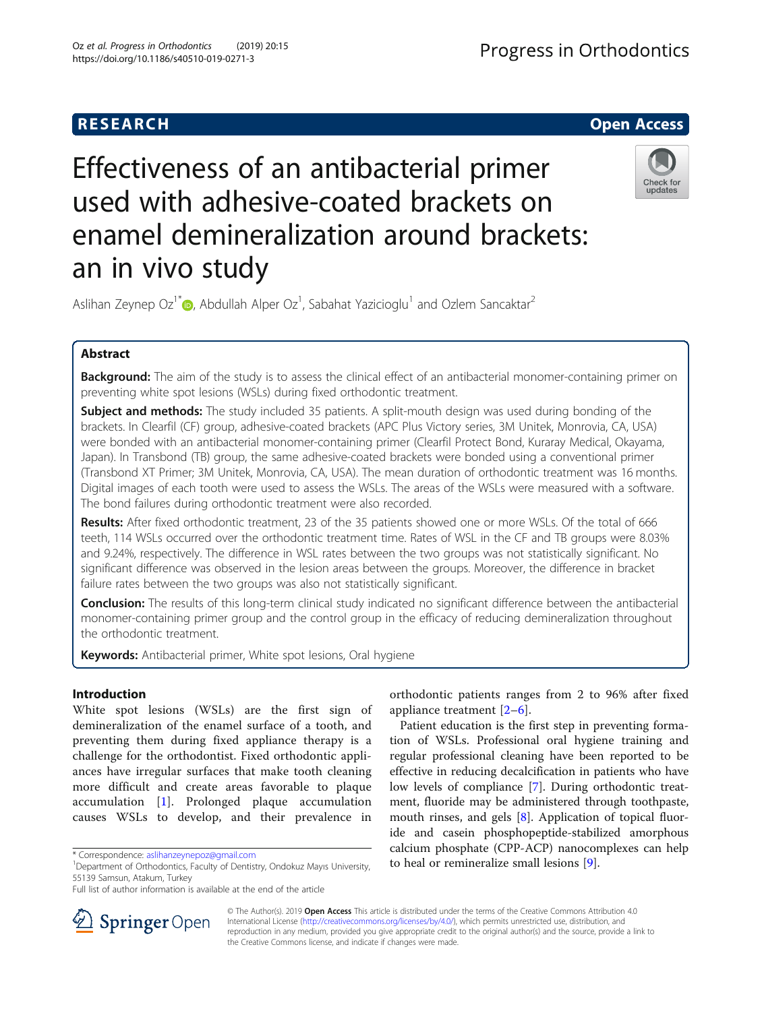# Effectiveness of an antibacterial primer used with adhesive-coated brackets on enamel demineralization around brackets: an in vivo study



Aslihan Zeynep Oz<sup>1[\\*](http://orcid.org/0000-0001-9168-5743)</sup> $\bullet$ , Abdullah Alper Oz<sup>1</sup>, Sabahat Yazicioglu<sup>1</sup> and Ozlem Sancaktar<sup>2</sup>

# Abstract

Background: The aim of the study is to assess the clinical effect of an antibacterial monomer-containing primer on preventing white spot lesions (WSLs) during fixed orthodontic treatment.

**Subject and methods:** The study included 35 patients. A split-mouth design was used during bonding of the brackets. In Clearfil (CF) group, adhesive-coated brackets (APC Plus Victory series, 3M Unitek, Monrovia, CA, USA) were bonded with an antibacterial monomer-containing primer (Clearfil Protect Bond, Kuraray Medical, Okayama, Japan). In Transbond (TB) group, the same adhesive-coated brackets were bonded using a conventional primer (Transbond XT Primer; 3M Unitek, Monrovia, CA, USA). The mean duration of orthodontic treatment was 16 months. Digital images of each tooth were used to assess the WSLs. The areas of the WSLs were measured with a software. The bond failures during orthodontic treatment were also recorded.

Results: After fixed orthodontic treatment, 23 of the 35 patients showed one or more WSLs. Of the total of 666 teeth, 114 WSLs occurred over the orthodontic treatment time. Rates of WSL in the CF and TB groups were 8.03% and 9.24%, respectively. The difference in WSL rates between the two groups was not statistically significant. No significant difference was observed in the lesion areas between the groups. Moreover, the difference in bracket failure rates between the two groups was also not statistically significant.

**Conclusion:** The results of this long-term clinical study indicated no significant difference between the antibacterial monomer-containing primer group and the control group in the efficacy of reducing demineralization throughout the orthodontic treatment.

Keywords: Antibacterial primer, White spot lesions, Oral hygiene

# Introduction

White spot lesions (WSLs) are the first sign of demineralization of the enamel surface of a tooth, and preventing them during fixed appliance therapy is a challenge for the orthodontist. Fixed orthodontic appliances have irregular surfaces that make tooth cleaning more difficult and create areas favorable to plaque accumulation [[1\]](#page-5-0). Prolonged plaque accumulation causes WSLs to develop, and their prevalence in



Patient education is the first step in preventing formation of WSLs. Professional oral hygiene training and regular professional cleaning have been reported to be effective in reducing decalcification in patients who have low levels of compliance [\[7](#page-5-0)]. During orthodontic treatment, fluoride may be administered through toothpaste, mouth rinses, and gels [[8\]](#page-5-0). Application of topical fluoride and casein phosphopeptide-stabilized amorphous calcium phosphate (CPP-ACP) nanocomplexes can help to heal or remineralize small lesions [[9\]](#page-5-0).



© The Author(s). 2019 Open Access This article is distributed under the terms of the Creative Commons Attribution 4.0 International License ([http://creativecommons.org/licenses/by/4.0/\)](http://creativecommons.org/licenses/by/4.0/), which permits unrestricted use, distribution, and reproduction in any medium, provided you give appropriate credit to the original author(s) and the source, provide a link to the Creative Commons license, and indicate if changes were made.

<sup>\*</sup> Correspondence: [aslihanzeynepoz@gmail.com](mailto:aslihanzeynepoz@gmail.com) <sup>1</sup>

<sup>&</sup>lt;sup>1</sup>Department of Orthodontics, Faculty of Dentistry, Ondokuz Mayıs University, 55139 Samsun, Atakum, Turkey

Full list of author information is available at the end of the article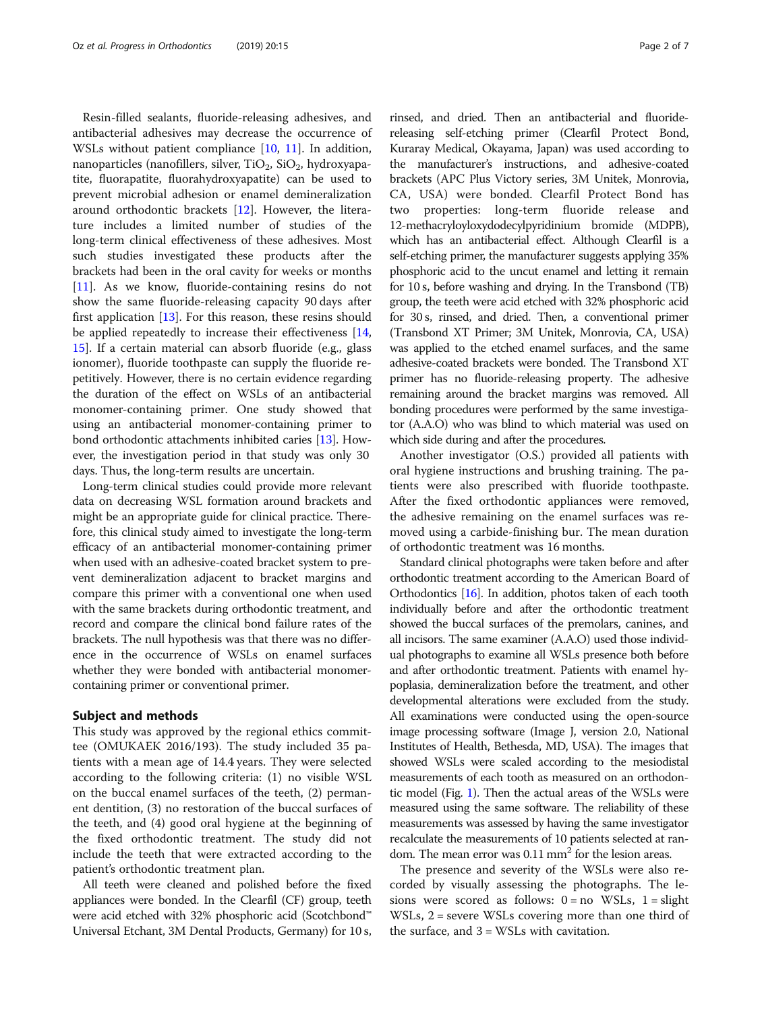Resin-filled sealants, fluoride-releasing adhesives, and antibacterial adhesives may decrease the occurrence of WSLs without patient compliance [[10,](#page-5-0) [11\]](#page-5-0). In addition, nanoparticles (nanofillers, silver,  $TiO<sub>2</sub>$ ,  $SiO<sub>2</sub>$ , hydroxyapatite, fluorapatite, fluorahydroxyapatite) can be used to prevent microbial adhesion or enamel demineralization around orthodontic brackets [[12](#page-5-0)]. However, the literature includes a limited number of studies of the long-term clinical effectiveness of these adhesives. Most such studies investigated these products after the brackets had been in the oral cavity for weeks or months [[11\]](#page-5-0). As we know, fluoride-containing resins do not show the same fluoride-releasing capacity 90 days after first application [\[13\]](#page-5-0). For this reason, these resins should be applied repeatedly to increase their effectiveness [[14](#page-5-0), [15\]](#page-5-0). If a certain material can absorb fluoride (e.g., glass ionomer), fluoride toothpaste can supply the fluoride repetitively. However, there is no certain evidence regarding the duration of the effect on WSLs of an antibacterial monomer-containing primer. One study showed that using an antibacterial monomer-containing primer to bond orthodontic attachments inhibited caries [[13\]](#page-5-0). However, the investigation period in that study was only 30 days. Thus, the long-term results are uncertain.

Long-term clinical studies could provide more relevant data on decreasing WSL formation around brackets and might be an appropriate guide for clinical practice. Therefore, this clinical study aimed to investigate the long-term efficacy of an antibacterial monomer-containing primer when used with an adhesive-coated bracket system to prevent demineralization adjacent to bracket margins and compare this primer with a conventional one when used with the same brackets during orthodontic treatment, and record and compare the clinical bond failure rates of the brackets. The null hypothesis was that there was no difference in the occurrence of WSLs on enamel surfaces whether they were bonded with antibacterial monomercontaining primer or conventional primer.

#### Subject and methods

This study was approved by the regional ethics committee (OMUKAEK 2016/193). The study included 35 patients with a mean age of 14.4 years. They were selected according to the following criteria: (1) no visible WSL on the buccal enamel surfaces of the teeth, (2) permanent dentition, (3) no restoration of the buccal surfaces of the teeth, and (4) good oral hygiene at the beginning of the fixed orthodontic treatment. The study did not include the teeth that were extracted according to the patient's orthodontic treatment plan.

All teeth were cleaned and polished before the fixed appliances were bonded. In the Clearfil (CF) group, teeth were acid etched with 32% phosphoric acid (Scotchbond™ Universal Etchant, 3M Dental Products, Germany) for 10 s,

rinsed, and dried. Then an antibacterial and fluoridereleasing self-etching primer (Clearfil Protect Bond, Kuraray Medical, Okayama, Japan) was used according to the manufacturer's instructions, and adhesive-coated brackets (APC Plus Victory series, 3M Unitek, Monrovia, CA, USA) were bonded. Clearfil Protect Bond has two properties: long-term fluoride release and 12-methacryloyloxydodecylpyridinium bromide (MDPB), which has an antibacterial effect. Although Clearfil is a self-etching primer, the manufacturer suggests applying 35% phosphoric acid to the uncut enamel and letting it remain for 10 s, before washing and drying. In the Transbond (TB) group, the teeth were acid etched with 32% phosphoric acid for 30 s, rinsed, and dried. Then, a conventional primer (Transbond XT Primer; 3M Unitek, Monrovia, CA, USA) was applied to the etched enamel surfaces, and the same adhesive-coated brackets were bonded. The Transbond XT primer has no fluoride-releasing property. The adhesive remaining around the bracket margins was removed. All bonding procedures were performed by the same investigator (A.A.O) who was blind to which material was used on which side during and after the procedures.

Another investigator (O.S.) provided all patients with oral hygiene instructions and brushing training. The patients were also prescribed with fluoride toothpaste. After the fixed orthodontic appliances were removed, the adhesive remaining on the enamel surfaces was removed using a carbide-finishing bur. The mean duration of orthodontic treatment was 16 months.

Standard clinical photographs were taken before and after orthodontic treatment according to the American Board of Orthodontics [\[16\]](#page-5-0). In addition, photos taken of each tooth individually before and after the orthodontic treatment showed the buccal surfaces of the premolars, canines, and all incisors. The same examiner (A.A.O) used those individual photographs to examine all WSLs presence both before and after orthodontic treatment. Patients with enamel hypoplasia, demineralization before the treatment, and other developmental alterations were excluded from the study. All examinations were conducted using the open-source image processing software (Image J, version 2.0, National Institutes of Health, Bethesda, MD, USA). The images that showed WSLs were scaled according to the mesiodistal measurements of each tooth as measured on an orthodontic model (Fig. [1\)](#page-2-0). Then the actual areas of the WSLs were measured using the same software. The reliability of these measurements was assessed by having the same investigator recalculate the measurements of 10 patients selected at random. The mean error was  $0.11$  mm<sup>2</sup> for the lesion areas.

The presence and severity of the WSLs were also recorded by visually assessing the photographs. The lesions were scored as follows:  $0 = no$  WSLs,  $1 = slight$ WSLs, 2 = severe WSLs covering more than one third of the surface, and  $3 = WSLs$  with cavitation.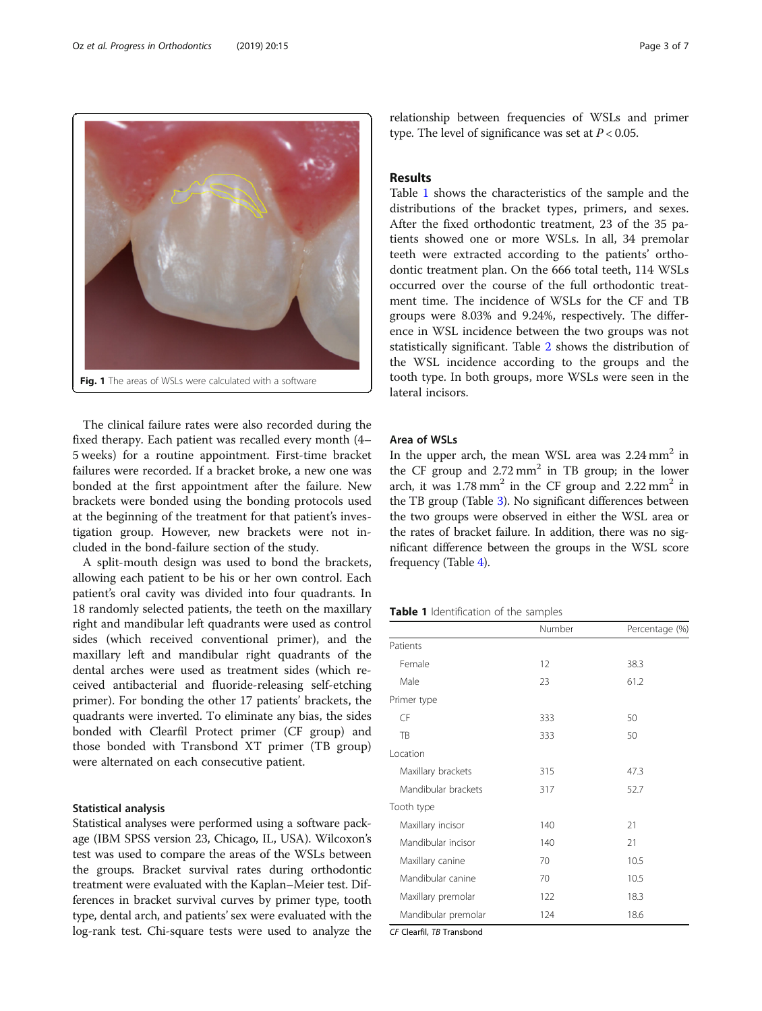The clinical failure rates were also recorded during the fixed therapy. Each patient was recalled every month (4– 5 weeks) for a routine appointment. First-time bracket failures were recorded. If a bracket broke, a new one was bonded at the first appointment after the failure. New brackets were bonded using the bonding protocols used at the beginning of the treatment for that patient's investigation group. However, new brackets were not included in the bond-failure section of the study.

Fig. 1 The areas of WSLs were calculated with a software

A split-mouth design was used to bond the brackets, allowing each patient to be his or her own control. Each patient's oral cavity was divided into four quadrants. In 18 randomly selected patients, the teeth on the maxillary right and mandibular left quadrants were used as control sides (which received conventional primer), and the maxillary left and mandibular right quadrants of the dental arches were used as treatment sides (which received antibacterial and fluoride-releasing self-etching primer). For bonding the other 17 patients' brackets, the quadrants were inverted. To eliminate any bias, the sides bonded with Clearfil Protect primer (CF group) and those bonded with Transbond XT primer (TB group) were alternated on each consecutive patient.

#### Statistical analysis

Statistical analyses were performed using a software package (IBM SPSS version 23, Chicago, IL, USA). Wilcoxon's test was used to compare the areas of the WSLs between the groups. Bracket survival rates during orthodontic treatment were evaluated with the Kaplan–Meier test. Differences in bracket survival curves by primer type, tooth type, dental arch, and patients' sex were evaluated with the log-rank test. Chi-square tests were used to analyze the

relationship between frequencies of WSLs and primer type. The level of significance was set at  $P < 0.05$ .

### Results

Table 1 shows the characteristics of the sample and the distributions of the bracket types, primers, and sexes. After the fixed orthodontic treatment, 23 of the 35 patients showed one or more WSLs. In all, 34 premolar teeth were extracted according to the patients' orthodontic treatment plan. On the 666 total teeth, 114 WSLs occurred over the course of the full orthodontic treatment time. The incidence of WSLs for the CF and TB groups were 8.03% and 9.24%, respectively. The difference in WSL incidence between the two groups was not statistically significant. Table [2](#page-3-0) shows the distribution of the WSL incidence according to the groups and the tooth type. In both groups, more WSLs were seen in the lateral incisors.

# Area of WSLs

In the upper arch, the mean WSL area was  $2.24 \text{ mm}^2$  in the CF group and  $2.72 \text{ mm}^2$  in TB group; in the lower arch, it was  $1.78 \text{ mm}^2$  in the CF group and  $2.22 \text{ mm}^2$  in the TB group (Table [3\)](#page-3-0). No significant differences between the two groups were observed in either the WSL area or the rates of bracket failure. In addition, there was no significant difference between the groups in the WSL score frequency (Table [4](#page-3-0)).

Table 1 Identification of the samples

|                     | Number | Percentage (%) |
|---------------------|--------|----------------|
| Patients            |        |                |
| Female              | 12     | 38.3           |
| Male                | 23     | 61.2           |
| Primer type         |        |                |
| CF                  | 333    | 50             |
| TB                  | 333    | 50             |
| Location            |        |                |
| Maxillary brackets  | 315    | 47.3           |
| Mandibular brackets | 317    | 52.7           |
| Tooth type          |        |                |
| Maxillary incisor   | 140    | 21             |
| Mandibular incisor  | 140    | 21             |
| Maxillary canine    | 70     | 10.5           |
| Mandibular canine   | 70     | 10.5           |
| Maxillary premolar  | 122    | 18.3           |
| Mandibular premolar | 124    | 18.6           |

CF Clearfil, TB Transbond

<span id="page-2-0"></span>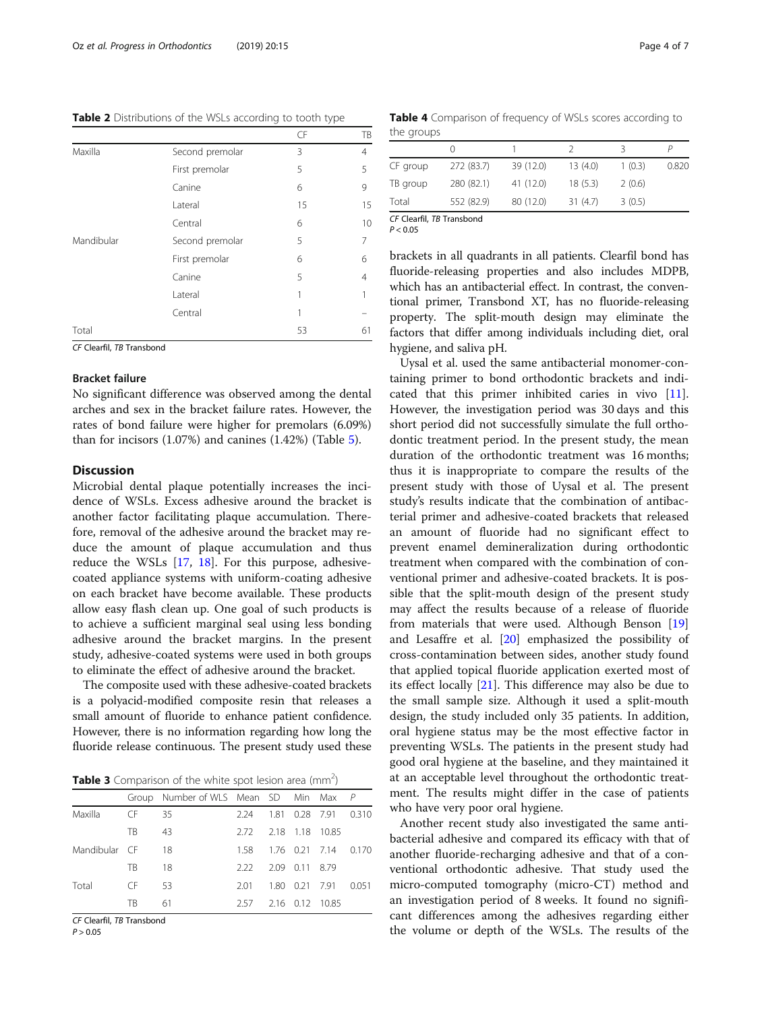<span id="page-3-0"></span>Table 2 Distributions of the WSLs according to tooth type

|            |                 | CF | TB |
|------------|-----------------|----|----|
| Maxilla    | Second premolar | 3  | 4  |
|            | First premolar  | 5  | 5  |
|            | Canine          | 6  | 9  |
|            | Lateral         | 15 | 15 |
|            | Central         | 6  | 10 |
| Mandibular | Second premolar | 5  | 7  |
|            | First premolar  | 6  | 6  |
|            | Canine          | 5  | 4  |
|            | Lateral         | 1  |    |
|            | Central         | 1  |    |
| Total      |                 | 53 | 61 |

CF Clearfil, TB Transbond

### Bracket failure

No significant difference was observed among the dental arches and sex in the bracket failure rates. However, the rates of bond failure were higher for premolars (6.09%) than for incisors (1.07%) and canines (1.42%) (Table [5](#page-4-0)).

### **Discussion**

Microbial dental plaque potentially increases the incidence of WSLs. Excess adhesive around the bracket is another factor facilitating plaque accumulation. Therefore, removal of the adhesive around the bracket may reduce the amount of plaque accumulation and thus reduce the WSLs [\[17](#page-5-0), [18\]](#page-5-0). For this purpose, adhesivecoated appliance systems with uniform-coating adhesive on each bracket have become available. These products allow easy flash clean up. One goal of such products is to achieve a sufficient marginal seal using less bonding adhesive around the bracket margins. In the present study, adhesive-coated systems were used in both groups to eliminate the effect of adhesive around the bracket.

The composite used with these adhesive-coated brackets is a polyacid-modified composite resin that releases a small amount of fluoride to enhance patient confidence. However, there is no information regarding how long the fluoride release continuous. The present study used these

Table 3 Comparison of the white spot lesion area (mm<sup>2</sup>)

|               |     | Group Number of WLS Mean SD Min Max P |      |                |                      |      |
|---------------|-----|---------------------------------------|------|----------------|----------------------|------|
| Maxilla       | CF. | 35                                    | 224  |                | 1.81 0.28 7.91 0.310 |      |
|               | TB. | 43                                    | 2.72 |                | 2.18 1.18 10.85      |      |
| Mandibular CF |     | 18                                    | 158  |                | 1.76 0.21 7.14 0.170 |      |
|               | TR. | 18                                    | 222  | 2.09 0.11 8.79 |                      |      |
| Total         | CF. | 53                                    | 201  |                | 1.80 0.21 7.91       | 0051 |
|               | TR. | 61                                    | 2.57 |                | 2.16 0.12 10.85      |      |

CF Clearfil, TB Transbond

 $P > 0.05$ 

Table 4 Comparison of frequency of WSLs scores according to the groups

| CF group | 272 (83.7) | 39 (12.0) | 13(4.0)  | 1(0.3) | 0.820 |  |  |
|----------|------------|-----------|----------|--------|-------|--|--|
| TB group | 280 (82.1) | 41 (12.0) | 18(5.3)  | 2(0.6) |       |  |  |
| Total    | 552 (82.9) | 80 (12.0) | 31 (4.7) | 3(0.5) |       |  |  |

CF Clearfil, TB Transbond

 $P < 0.05$ 

brackets in all quadrants in all patients. Clearfil bond has fluoride-releasing properties and also includes MDPB, which has an antibacterial effect. In contrast, the conventional primer, Transbond XT, has no fluoride-releasing property. The split-mouth design may eliminate the factors that differ among individuals including diet, oral hygiene, and saliva pH.

Uysal et al. used the same antibacterial monomer-containing primer to bond orthodontic brackets and indicated that this primer inhibited caries in vivo [\[11](#page-5-0)]. However, the investigation period was 30 days and this short period did not successfully simulate the full orthodontic treatment period. In the present study, the mean duration of the orthodontic treatment was 16 months; thus it is inappropriate to compare the results of the present study with those of Uysal et al. The present study's results indicate that the combination of antibacterial primer and adhesive-coated brackets that released an amount of fluoride had no significant effect to prevent enamel demineralization during orthodontic treatment when compared with the combination of conventional primer and adhesive-coated brackets. It is possible that the split-mouth design of the present study may affect the results because of a release of fluoride from materials that were used. Although Benson [[19](#page-5-0)] and Lesaffre et al. [[20\]](#page-5-0) emphasized the possibility of cross-contamination between sides, another study found that applied topical fluoride application exerted most of its effect locally [[21\]](#page-5-0). This difference may also be due to the small sample size. Although it used a split-mouth design, the study included only 35 patients. In addition, oral hygiene status may be the most effective factor in preventing WSLs. The patients in the present study had good oral hygiene at the baseline, and they maintained it at an acceptable level throughout the orthodontic treatment. The results might differ in the case of patients who have very poor oral hygiene.

Another recent study also investigated the same antibacterial adhesive and compared its efficacy with that of another fluoride-recharging adhesive and that of a conventional orthodontic adhesive. That study used the micro-computed tomography (micro-CT) method and an investigation period of 8 weeks. It found no significant differences among the adhesives regarding either the volume or depth of the WSLs. The results of the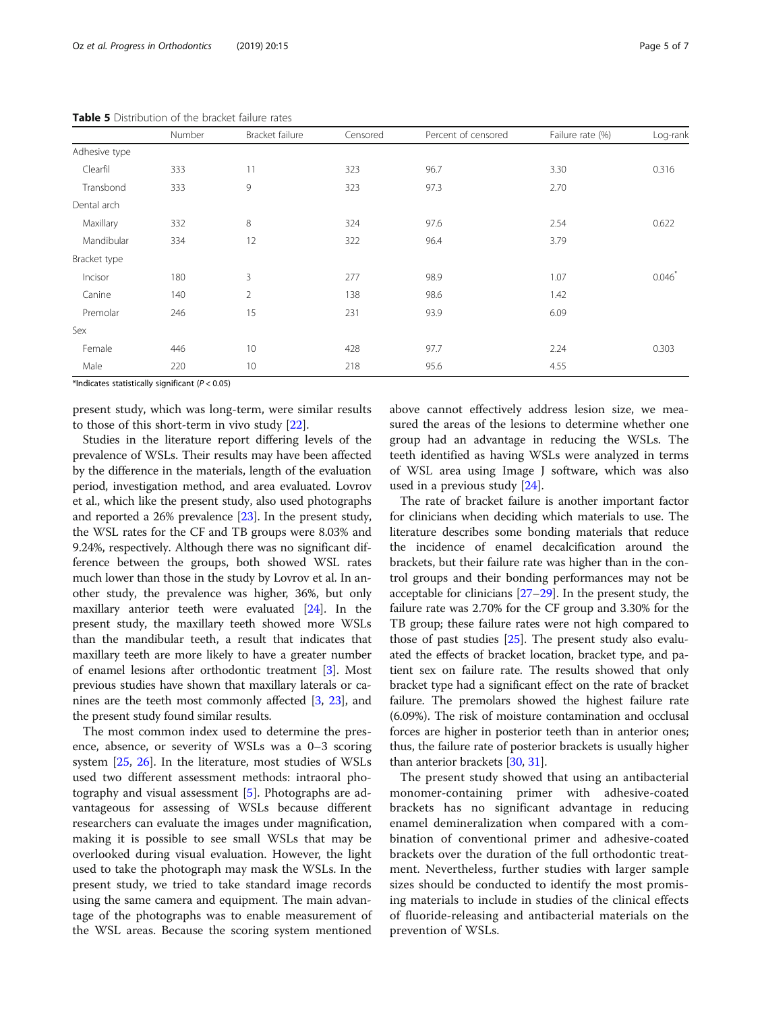| <b>ble 5</b> Distribution of the bracket failure rates |        |                 |          |                     |                  |          |  |
|--------------------------------------------------------|--------|-----------------|----------|---------------------|------------------|----------|--|
|                                                        | Number | Bracket failure | Censored | Percent of censored | Failure rate (%) | Log-rank |  |
| hesive type                                            |        |                 |          |                     |                  |          |  |
| Clearfil                                               | 333    | 11              | 323      | 96.7                | 3.30             | 0.316    |  |
| Transbond                                              | 333    | 9               | 323      | 97.3                | 2.70             |          |  |
| ntal arch                                              |        |                 |          |                     |                  |          |  |
| Maxillary                                              | 332    | 8               | 324      | 97.6                | 2.54             | 0.622    |  |
| Mandibular                                             | 334    | 12              | 322      | 96.4                | 3.79             |          |  |
| acket type                                             |        |                 |          |                     |                  |          |  |
| Incisor                                                | 180    | 3               | 277      | 98.9                | 1.07             | 0.046    |  |
| Canine                                                 | 140    | 2               | 138      | 98.6                | 1.42             |          |  |
|                                                        |        |                 |          |                     |                  |          |  |

Female 446 10 428 97.7 2.24 0.303

Premolar 246 15 231 93.9 6.09

Male 220 10 218 95.6 4.55

<span id="page-4-0"></span>**Table** 

Adhesiv

Dental

Bracket

Sex

\*Indicates statistically significant ( $P < 0.05$ )

present study, which was long-term, were similar results to those of this short-term in vivo study [[22](#page-5-0)].

Studies in the literature report differing levels of the prevalence of WSLs. Their results may have been affected by the difference in the materials, length of the evaluation period, investigation method, and area evaluated. Lovrov et al., which like the present study, also used photographs and reported a 26% prevalence [\[23](#page-5-0)]. In the present study, the WSL rates for the CF and TB groups were 8.03% and 9.24%, respectively. Although there was no significant difference between the groups, both showed WSL rates much lower than those in the study by Lovrov et al. In another study, the prevalence was higher, 36%, but only maxillary anterior teeth were evaluated [\[24\]](#page-5-0). In the present study, the maxillary teeth showed more WSLs than the mandibular teeth, a result that indicates that maxillary teeth are more likely to have a greater number of enamel lesions after orthodontic treatment [\[3\]](#page-5-0). Most previous studies have shown that maxillary laterals or canines are the teeth most commonly affected [\[3](#page-5-0), [23\]](#page-5-0), and the present study found similar results.

The most common index used to determine the presence, absence, or severity of WSLs was a 0–3 scoring system [\[25](#page-5-0), [26\]](#page-5-0). In the literature, most studies of WSLs used two different assessment methods: intraoral photography and visual assessment [[5\]](#page-5-0). Photographs are advantageous for assessing of WSLs because different researchers can evaluate the images under magnification, making it is possible to see small WSLs that may be overlooked during visual evaluation. However, the light used to take the photograph may mask the WSLs. In the present study, we tried to take standard image records using the same camera and equipment. The main advantage of the photographs was to enable measurement of the WSL areas. Because the scoring system mentioned

above cannot effectively address lesion size, we measured the areas of the lesions to determine whether one group had an advantage in reducing the WSLs. The teeth identified as having WSLs were analyzed in terms of WSL area using Image J software, which was also used in a previous study [\[24](#page-5-0)].

The rate of bracket failure is another important factor for clinicians when deciding which materials to use. The literature describes some bonding materials that reduce the incidence of enamel decalcification around the brackets, but their failure rate was higher than in the control groups and their bonding performances may not be acceptable for clinicians [[27](#page-5-0)–[29\]](#page-5-0). In the present study, the failure rate was 2.70% for the CF group and 3.30% for the TB group; these failure rates were not high compared to those of past studies [\[25\]](#page-5-0). The present study also evaluated the effects of bracket location, bracket type, and patient sex on failure rate. The results showed that only bracket type had a significant effect on the rate of bracket failure. The premolars showed the highest failure rate (6.09%). The risk of moisture contamination and occlusal forces are higher in posterior teeth than in anterior ones; thus, the failure rate of posterior brackets is usually higher than anterior brackets [[30](#page-6-0), [31\]](#page-6-0).

The present study showed that using an antibacterial monomer-containing primer with adhesive-coated brackets has no significant advantage in reducing enamel demineralization when compared with a combination of conventional primer and adhesive-coated brackets over the duration of the full orthodontic treatment. Nevertheless, further studies with larger sample sizes should be conducted to identify the most promising materials to include in studies of the clinical effects of fluoride-releasing and antibacterial materials on the prevention of WSLs.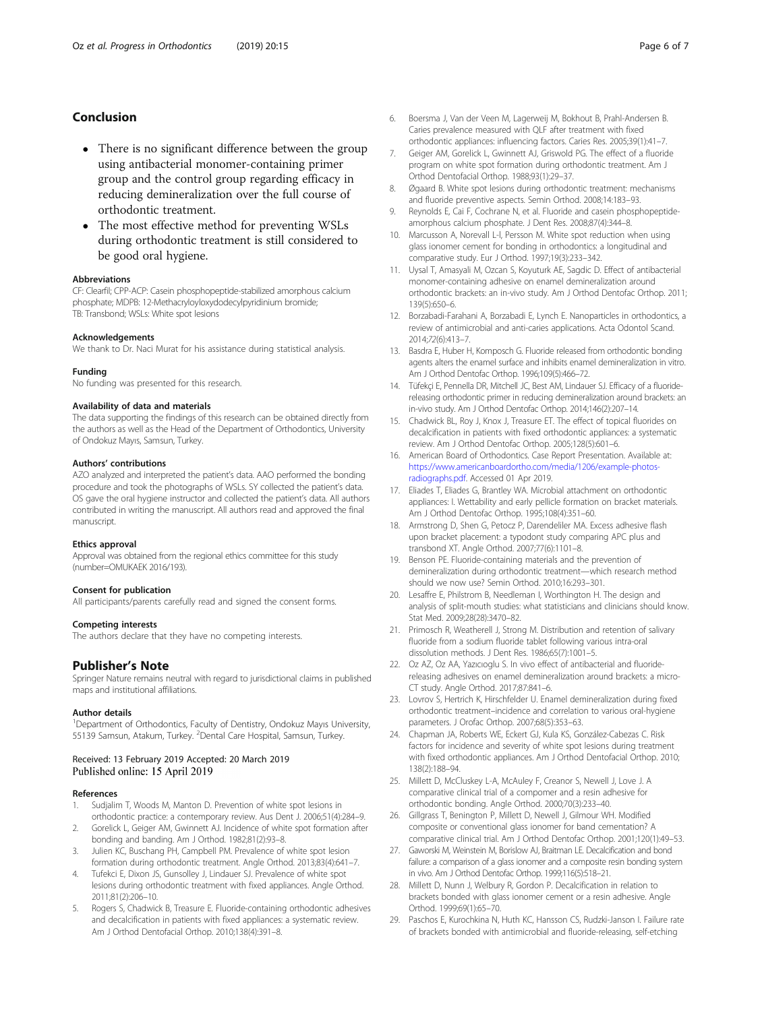# <span id="page-5-0"></span>Conclusion

- There is no significant difference between the group using antibacterial monomer-containing primer group and the control group regarding efficacy in reducing demineralization over the full course of orthodontic treatment.
- The most effective method for preventing WSLs during orthodontic treatment is still considered to be good oral hygiene.

#### Abbreviations

CF: Clearfil; CPP-ACP: Casein phosphopeptide-stabilized amorphous calcium phosphate; MDPB: 12-Methacryloyloxydodecylpyridinium bromide; TB: Transbond; WSLs: White spot lesions

#### Acknowledgements

We thank to Dr. Naci Murat for his assistance during statistical analysis.

#### Funding

No funding was presented for this research.

#### Availability of data and materials

The data supporting the findings of this research can be obtained directly from the authors as well as the Head of the Department of Orthodontics, University of Ondokuz Mayıs, Samsun, Turkey.

#### Authors' contributions

AZO analyzed and interpreted the patient's data. AAO performed the bonding procedure and took the photographs of WSLs. SY collected the patient's data. OS gave the oral hygiene instructor and collected the patient's data. All authors contributed in writing the manuscript. All authors read and approved the final manuscript.

#### Ethics approval

Approval was obtained from the regional ethics committee for this study (number=OMUKAEK 2016/193).

#### Consent for publication

All participants/parents carefully read and signed the consent forms.

#### Competing interests

The authors declare that they have no competing interests.

## Publisher's Note

Springer Nature remains neutral with regard to jurisdictional claims in published maps and institutional affiliations.

#### Author details

<sup>1</sup>Department of Orthodontics, Faculty of Dentistry, Ondokuz Mayıs University, 55139 Samsun, Atakum, Turkey. <sup>2</sup>Dental Care Hospital, Samsun, Turkey.

#### Received: 13 February 2019 Accepted: 20 March 2019 Published online: 15 April 2019

#### References

- 1. Sudjalim T, Woods M, Manton D. Prevention of white spot lesions in orthodontic practice: a contemporary review. Aus Dent J. 2006;51(4):284–9.
- Gorelick L, Geiger AM, Gwinnett AJ. Incidence of white spot formation after bonding and banding. Am J Orthod. 1982;81(2):93–8.
- 3. Julien KC, Buschang PH, Campbell PM. Prevalence of white spot lesion formation during orthodontic treatment. Angle Orthod. 2013;83(4):641–7.
- 4. Tufekci E, Dixon JS, Gunsolley J, Lindauer SJ. Prevalence of white spot lesions during orthodontic treatment with fixed appliances. Angle Orthod. 2011;81(2):206–10.
- 5. Rogers S, Chadwick B, Treasure E. Fluoride-containing orthodontic adhesives and decalcification in patients with fixed appliances: a systematic review. Am J Orthod Dentofacial Orthop. 2010;138(4):391–8.
- 6. Boersma J, Van der Veen M, Lagerweij M, Bokhout B, Prahl-Andersen B. Caries prevalence measured with QLF after treatment with fixed orthodontic appliances: influencing factors. Caries Res. 2005;39(1):41–7.
- 7. Geiger AM, Gorelick L, Gwinnett AJ, Griswold PG. The effect of a fluoride program on white spot formation during orthodontic treatment. Am J Orthod Dentofacial Orthop. 1988;93(1):29–37.
- 8. Øgaard B. White spot lesions during orthodontic treatment: mechanisms and fluoride preventive aspects. Semin Orthod. 2008;14:183–93.
- 9. Reynolds E, Cai F, Cochrane N, et al. Fluoride and casein phosphopeptideamorphous calcium phosphate. J Dent Res. 2008;87(4):344–8.
- 10. Marcusson A, Norevall L-l, Persson M. White spot reduction when using glass ionomer cement for bonding in orthodontics: a longitudinal and comparative study. Eur J Orthod. 1997;19(3):233–342.
- 11. Uysal T, Amasyali M, Ozcan S, Koyuturk AE, Sagdic D. Effect of antibacterial monomer-containing adhesive on enamel demineralization around orthodontic brackets: an in-vivo study. Am J Orthod Dentofac Orthop. 2011; 139(5):650–6.
- 12. Borzabadi-Farahani A, Borzabadi E, Lynch E. Nanoparticles in orthodontics, a review of antimicrobial and anti-caries applications. Acta Odontol Scand. 2014;72(6):413–7.
- 13. Basdra E, Huber H, Komposch G. Fluoride released from orthodontic bonding agents alters the enamel surface and inhibits enamel demineralization in vitro. Am J Orthod Dentofac Orthop. 1996;109(5):466–72.
- 14. Tüfekçi E, Pennella DR, Mitchell JC, Best AM, Lindauer SJ. Efficacy of a fluoridereleasing orthodontic primer in reducing demineralization around brackets: an in-vivo study. Am J Orthod Dentofac Orthop. 2014;146(2):207–14.
- 15. Chadwick BL, Roy J, Knox J, Treasure ET. The effect of topical fluorides on decalcification in patients with fixed orthodontic appliances: a systematic review. Am J Orthod Dentofac Orthop. 2005;128(5):601–6.
- 16. American Board of Orthodontics. Case Report Presentation. Available at: [https://www.americanboardortho.com/media/1206/example-photos](https://www.americanboardortho.com/media/1206/example-photos-radiographs.pdf)[radiographs.pdf](https://www.americanboardortho.com/media/1206/example-photos-radiographs.pdf). Accessed 01 Apr 2019.
- 17. Eliades T, Eliades G, Brantley WA. Microbial attachment on orthodontic appliances: I. Wettability and early pellicle formation on bracket materials. Am J Orthod Dentofac Orthop. 1995;108(4):351–60.
- 18. Armstrong D, Shen G, Petocz P, Darendeliler MA. Excess adhesive flash upon bracket placement: a typodont study comparing APC plus and transbond XT. Angle Orthod. 2007;77(6):1101–8.
- 19. Benson PE. Fluoride-containing materials and the prevention of demineralization during orthodontic treatment—which research method should we now use? Semin Orthod. 2010;16:293–301.
- 20. Lesaffre E, Philstrom B, Needleman I, Worthington H. The design and analysis of split-mouth studies: what statisticians and clinicians should know. Stat Med. 2009;28(28):3470–82.
- 21. Primosch R, Weatherell J, Strong M. Distribution and retention of salivary fluoride from a sodium fluoride tablet following various intra-oral dissolution methods. J Dent Res. 1986;65(7):1001–5.
- 22. Oz AZ, Oz AA, Yazıcıoglu S. In vivo effect of antibacterial and fluoridereleasing adhesives on enamel demineralization around brackets: a micro-CT study. Angle Orthod. 2017;87:841–6.
- 23. Lovrov S, Hertrich K, Hirschfelder U. Enamel demineralization during fixed orthodontic treatment–incidence and correlation to various oral-hygiene parameters. J Orofac Orthop. 2007;68(5):353–63.
- 24. Chapman JA, Roberts WE, Eckert GJ, Kula KS, González-Cabezas C. Risk factors for incidence and severity of white spot lesions during treatment with fixed orthodontic appliances. Am J Orthod Dentofacial Orthop. 2010; 138(2):188–94.
- 25. Millett D, McCluskey L-A, McAuley F, Creanor S, Newell J, Love J. A comparative clinical trial of a compomer and a resin adhesive for orthodontic bonding. Angle Orthod. 2000;70(3):233–40.
- 26. Gillgrass T, Benington P, Millett D, Newell J, Gilmour WH. Modified composite or conventional glass ionomer for band cementation? A comparative clinical trial. Am J Orthod Dentofac Orthop. 2001;120(1):49–53.
- 27. Gaworski M, Weinstein M, Borislow AJ, Braitman LE. Decalcification and bond failure: a comparison of a glass ionomer and a composite resin bonding system in vivo. Am J Orthod Dentofac Orthop. 1999;116(5):518–21.
- 28. Millett D, Nunn J, Welbury R, Gordon P. Decalcification in relation to brackets bonded with glass ionomer cement or a resin adhesive. Angle Orthod. 1999;69(1):65–70.
- 29. Paschos E, Kurochkina N, Huth KC, Hansson CS, Rudzki-Janson I. Failure rate of brackets bonded with antimicrobial and fluoride-releasing, self-etching